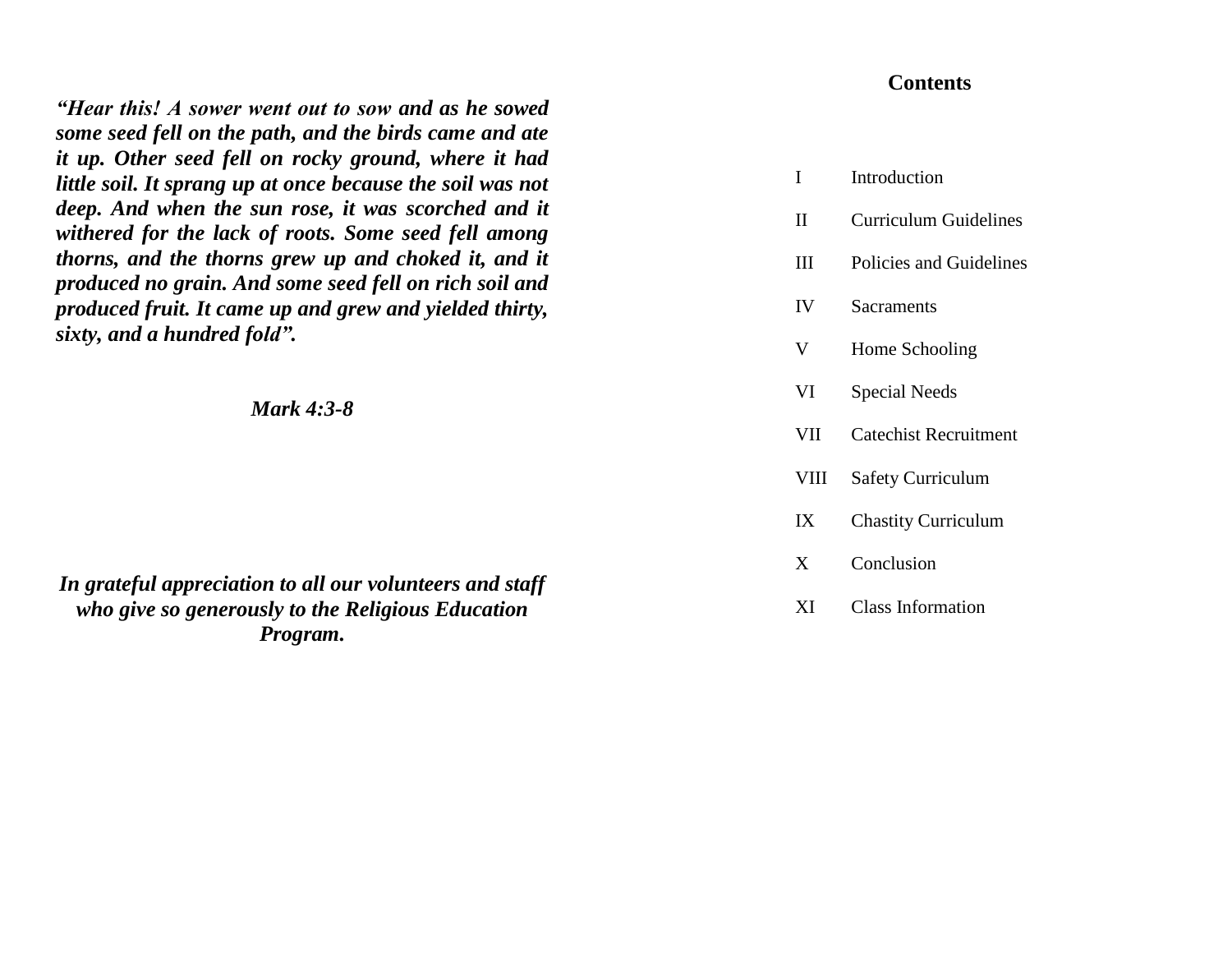*"Hear this! A sower went out to sow and as he sowed some seed fell on the path, and the birds came and ate it up. Other seed fell on rocky ground, where it had little soil. It sprang up at once because the soil was not deep. And when the sun rose, it was scorched and it withered for the lack of roots. Some seed fell among thorns, and the thorns grew up and choked it, and it produced no grain. And some seed fell on rich soil and produced fruit. It came up and grew and yielded thirty, sixty, and a hundred fold".*

*Mark 4:3-8* 

*In grateful appreciation to all our volunteers and staff who give so generously to the Religious Education Program.* 

# **Contents**

| Introduction |
|--------------|
|              |
|              |
|              |
|              |
|              |
|              |
|              |
|              |

- II Curriculum Guidelines
- III Policies and Guidelines
- IV Sacraments
- V Home Schooling
- VI Special Needs
- VII Catechist Recruitment
- VIII Safety Curriculum
- IX Chastity Curriculum
- X Conclusion
- XI Class Information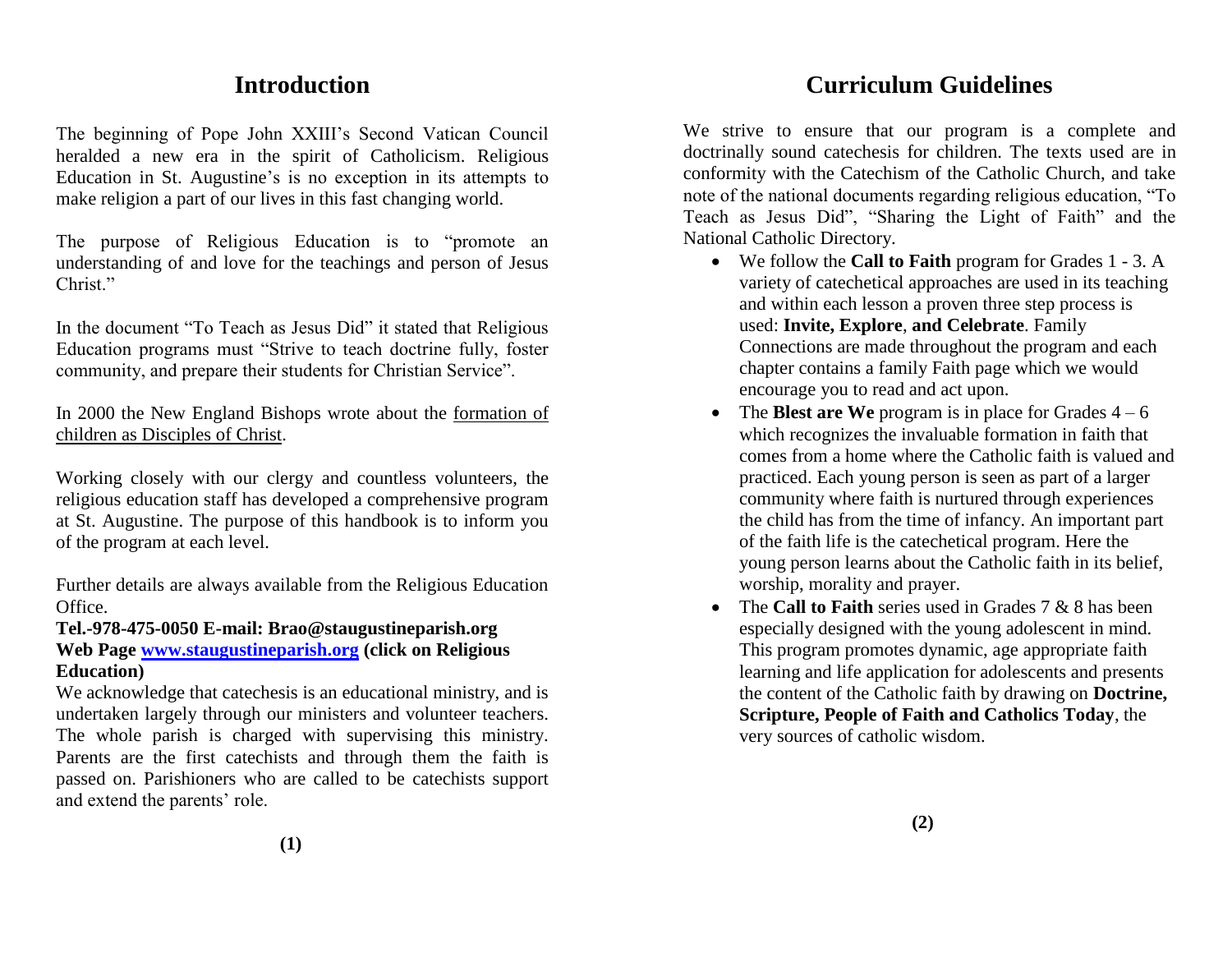# **Introduction**

The beginning of Pope John XXIII's Second Vatican Council heralded a new era in the spirit of Catholicism. Religious Education in St. Augustine's is no exception in its attempts to make religion a part of our lives in this fast changing world.

The purpose of Religious Education is to "promote an understanding of and love for the teachings and person of Jesus Christ<sup>"</sup>

In the document "To Teach as Jesus Did" it stated that Religious Education programs must "Strive to teach doctrine fully, foster community, and prepare their students for Christian Service".

In 2000 the New England Bishops wrote about the formation of children as Disciples of Christ.

Working closely with our clergy and countless volunteers, the religious education staff has developed a comprehensive program at St. Augustine. The purpose of this handbook is to inform you of the program at each level.

Further details are always available from the Religious Education Office.

# **Tel.-978-475-0050 E-mail: Brao@staugustineparish.org Web Page [www.staugustineparish.org](http://www.staugustineparish.org/) (click on Religious Education)**

We acknowledge that catechesis is an educational ministry, and is undertaken largely through our ministers and volunteer teachers. The whole parish is charged with supervising this ministry. Parents are the first catechists and through them the faith is passed on. Parishioners who are called to be catechists support and extend the parents' role.

# **Curriculum Guidelines**

We strive to ensure that our program is a complete and doctrinally sound catechesis for children. The texts used are in conformity with the Catechism of the Catholic Church, and take note of the national documents regarding religious education, "To Teach as Jesus Did", "Sharing the Light of Faith" and the National Catholic Directory.

- We follow the **Call to Faith** program for Grades 1 3. A variety of catechetical approaches are used in its teaching and within each lesson a proven three step process is used: **Invite, Explore**, **and Celebrate**. Family Connections are made throughout the program and each chapter contains a family Faith page which we would encourage you to read and act upon.
- The **Blest are We** program is in place for Grades  $4 6$ which recognizes the invaluable formation in faith that comes from a home where the Catholic faith is valued and practiced. Each young person is seen as part of a larger community where faith is nurtured through experiences the child has from the time of infancy. An important part of the faith life is the catechetical program. Here the young person learns about the Catholic faith in its belief, worship, morality and prayer.
- The **Call to Faith** series used in Grades 7 & 8 has been especially designed with the young adolescent in mind. This program promotes dynamic, age appropriate faith learning and life application for adolescents and presents the content of the Catholic faith by drawing on **Doctrine, Scripture, People of Faith and Catholics Today**, the very sources of catholic wisdom.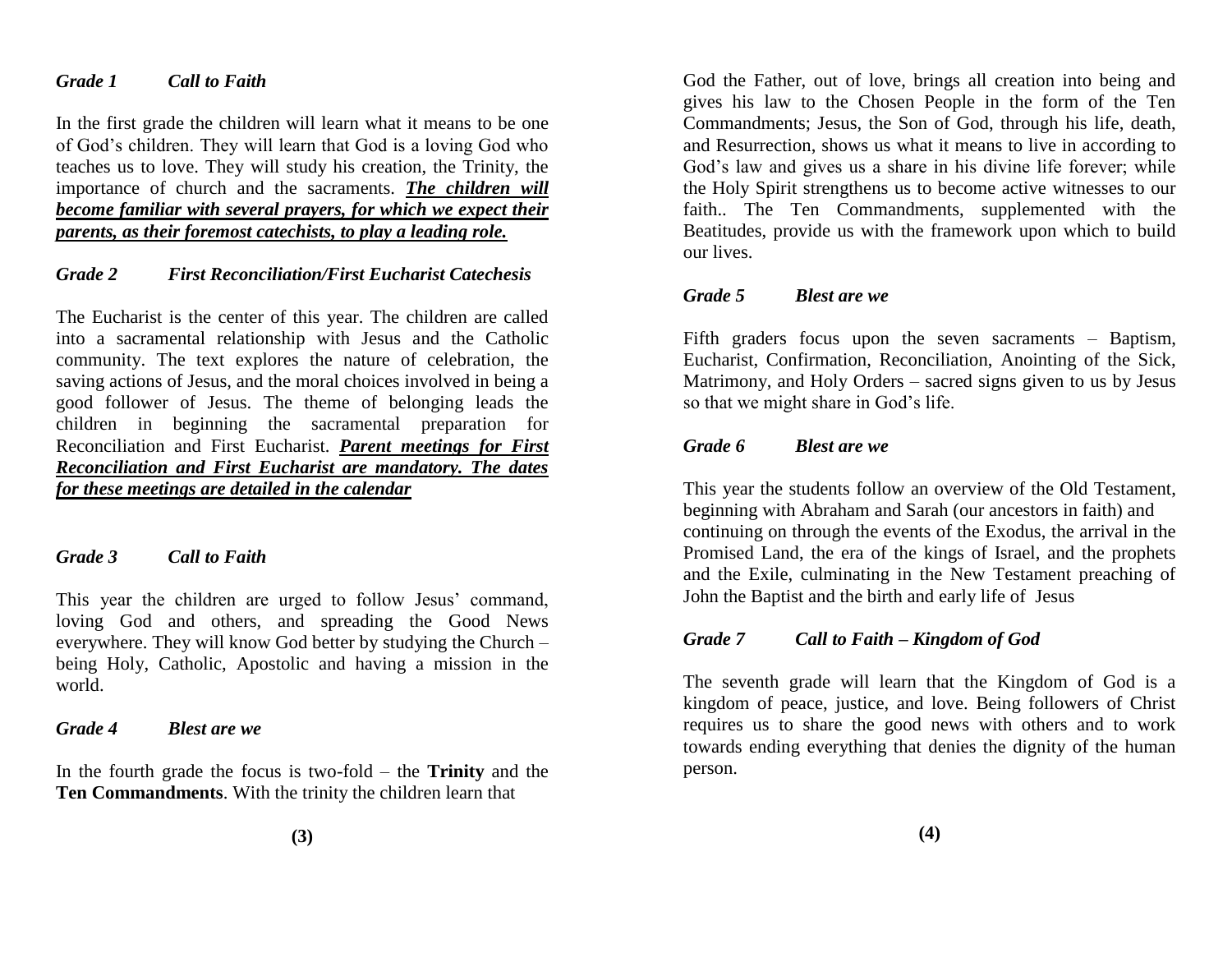### *Grade 1 Call to Faith*

In the first grade the children will learn what it means to be one of God's children. They will learn that God is a loving God who teaches us to love. They will study his creation, the Trinity, the importance of church and the sacraments. *The children will become familiar with several prayers, for which we expect their parents, as their foremost catechists, to play a leading role.*

# *Grade 2 First Reconciliation/First Eucharist Catechesis*

The Eucharist is the center of this year. The children are called into a sacramental relationship with Jesus and the Catholic community. The text explores the nature of celebration, the saving actions of Jesus, and the moral choices involved in being a good follower of Jesus. The theme of belonging leads the children in beginning the sacramental preparation for Reconciliation and First Eucharist. *Parent meetings for First Reconciliation and First Eucharist are mandatory. The dates for these meetings are detailed in the calendar*

#### *Grade 3 Call to Faith*

This year the children are urged to follow Jesus' command, loving God and others, and spreading the Good News everywhere. They will know God better by studying the Church – being Holy, Catholic, Apostolic and having a mission in the world.

#### *Grade 4 Blest are we*

In the fourth grade the focus is two-fold – the **Trinity** and the **Ten Commandments**. With the trinity the children learn that

God the Father, out of love, brings all creation into being and gives his law to the Chosen People in the form of the Ten Commandments; Jesus, the Son of God, through his life, death, and Resurrection, shows us what it means to live in according to God's law and gives us a share in his divine life forever; while the Holy Spirit strengthens us to become active witnesses to our faith.. The Ten Commandments, supplemented with the Beatitudes, provide us with the framework upon which to build our lives.

### *Grade 5 Blest are we*

Fifth graders focus upon the seven sacraments – Baptism, Eucharist, Confirmation, Reconciliation, Anointing of the Sick, Matrimony, and Holy Orders – sacred signs given to us by Jesus so that we might share in God's life.

### *Grade 6 Blest are we*

This year the students follow an overview of the Old Testament, beginning with Abraham and Sarah (our ancestors in faith) and continuing on through the events of the Exodus, the arrival in the Promised Land, the era of the kings of Israel, and the prophets and the Exile, culminating in the New Testament preaching of John the Baptist and the birth and early life of Jesus

#### *Grade 7 Call to Faith – Kingdom of God*

The seventh grade will learn that the Kingdom of God is a kingdom of peace, justice, and love. Being followers of Christ requires us to share the good news with others and to work towards ending everything that denies the dignity of the human person.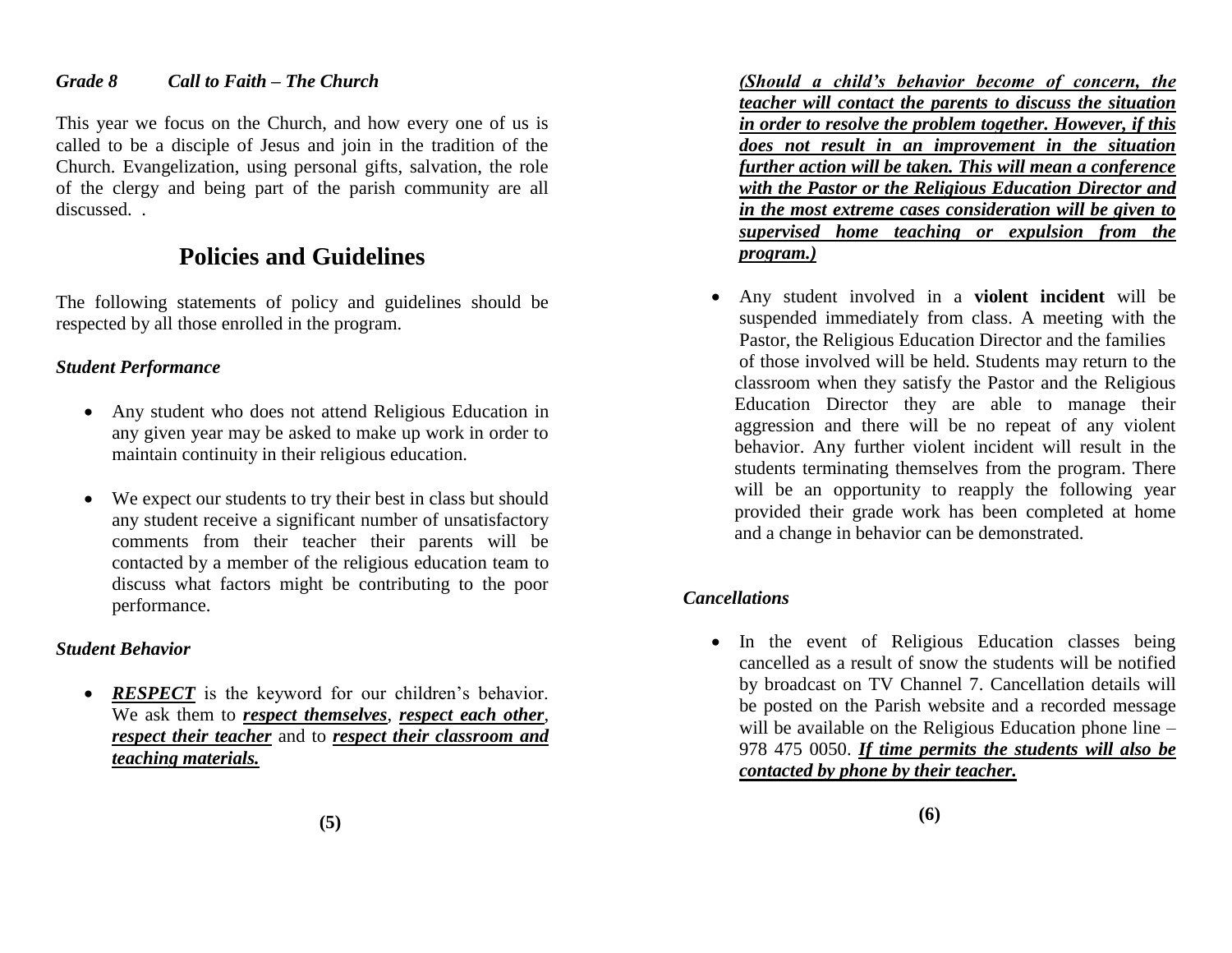### *Grade 8 Call to Faith – The Church*

This year we focus on the Church, and how every one of us is called to be a disciple of Jesus and join in the tradition of the Church. Evangelization, using personal gifts, salvation, the role of the clergy and being part of the parish community are all discussed. .

# **Policies and Guidelines**

The following statements of policy and guidelines should be respected by all those enrolled in the program.

# *Student Performance*

- Any student who does not attend Religious Education in any given year may be asked to make up work in order to maintain continuity in their religious education.
- We expect our students to try their best in class but should any student receive a significant number of unsatisfactory comments from their teacher their parents will be contacted by a member of the religious education team to discuss what factors might be contributing to the poor performance.

# *Student Behavior*

• **RESPECT** is the keyword for our children's behavior. We ask them to *respect themselves*, *respect each other*, *respect their teacher* and to *respect their classroom and teaching materials.*

*(Should a child's behavior become of concern, the teacher will contact the parents to discuss the situation in order to resolve the problem together. However, if this does not result in an improvement in the situation further action will be taken. This will mean a conference with the Pastor or the Religious Education Director and in the most extreme cases consideration will be given to supervised home teaching or expulsion from the program.)*

 Any student involved in a **violent incident** will be suspended immediately from class. A meeting with the Pastor, the Religious Education Director and the families of those involved will be held. Students may return to the classroom when they satisfy the Pastor and the Religious Education Director they are able to manage their aggression and there will be no repeat of any violent behavior. Any further violent incident will result in the students terminating themselves from the program. There will be an opportunity to reapply the following year provided their grade work has been completed at home and a change in behavior can be demonstrated.

# *Cancellations*

• In the event of Religious Education classes being cancelled as a result of snow the students will be notified by broadcast on TV Channel 7. Cancellation details will be posted on the Parish website and a recorded message will be available on the Religious Education phone line – 978 475 0050. *If time permits the students will also be contacted by phone by their teacher.*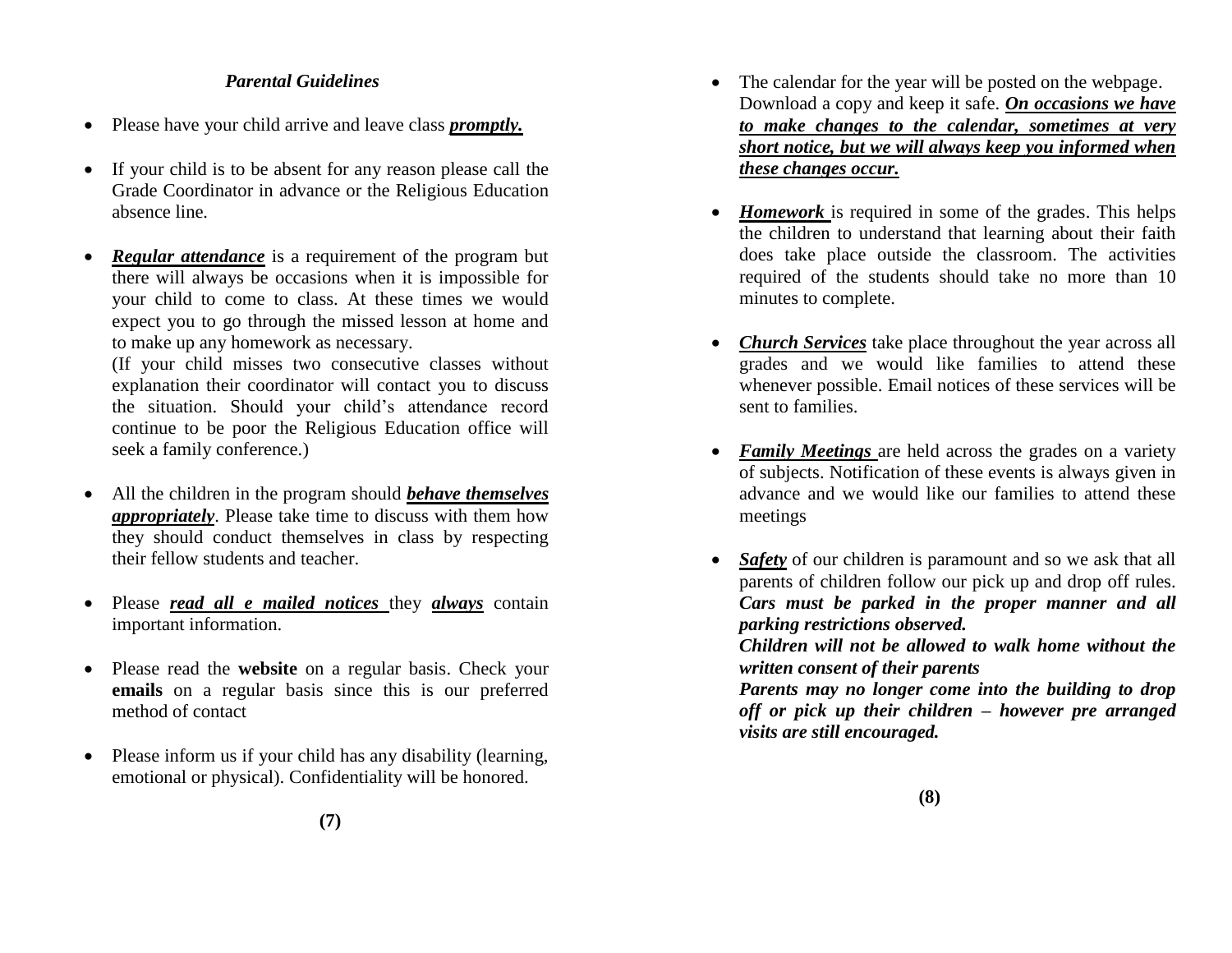# *Parental Guidelines*

- Please have your child arrive and leave class *promptly.*
- If your child is to be absent for any reason please call the Grade Coordinator in advance or the Religious Education absence line*.*
- *Regular attendance* is a requirement of the program but there will always be occasions when it is impossible for your child to come to class. At these times we would expect you to go through the missed lesson at home and to make up any homework as necessary.

(If your child misses two consecutive classes without explanation their coordinator will contact you to discuss the situation. Should your child's attendance record continue to be poor the Religious Education office will seek a family conference.)

- All the children in the program should *behave themselves appropriately*. Please take time to discuss with them how they should conduct themselves in class by respecting their fellow students and teacher.
- Please *read all e mailed notices* they *always* contain important information.
- Please read the **website** on a regular basis. Check your **emails** on a regular basis since this is our preferred method of contact
- Please inform us if your child has any disability (learning, emotional or physical). Confidentiality will be honored.
- The calendar for the year will be posted on the webpage. Download a copy and keep it safe. *On occasions we have to make changes to the calendar, sometimes at very short notice, but we will always keep you informed when these changes occur.*
- *Homework* is required in some of the grades. This helps the children to understand that learning about their faith does take place outside the classroom. The activities required of the students should take no more than 10 minutes to complete.
- *Church Services* take place throughout the year across all grades and we would like families to attend these whenever possible. Email notices of these services will be sent to families.
- *Family Meetings* are held across the grades on a variety of subjects. Notification of these events is always given in advance and we would like our families to attend these meetings
- *Safety* of our children is paramount and so we ask that all parents of children follow our pick up and drop off rules. *Cars must be parked in the proper manner and all parking restrictions observed. Children will not be allowed to walk home without the*

*written consent of their parents*

*Parents may no longer come into the building to drop off or pick up their children – however pre arranged visits are still encouraged.*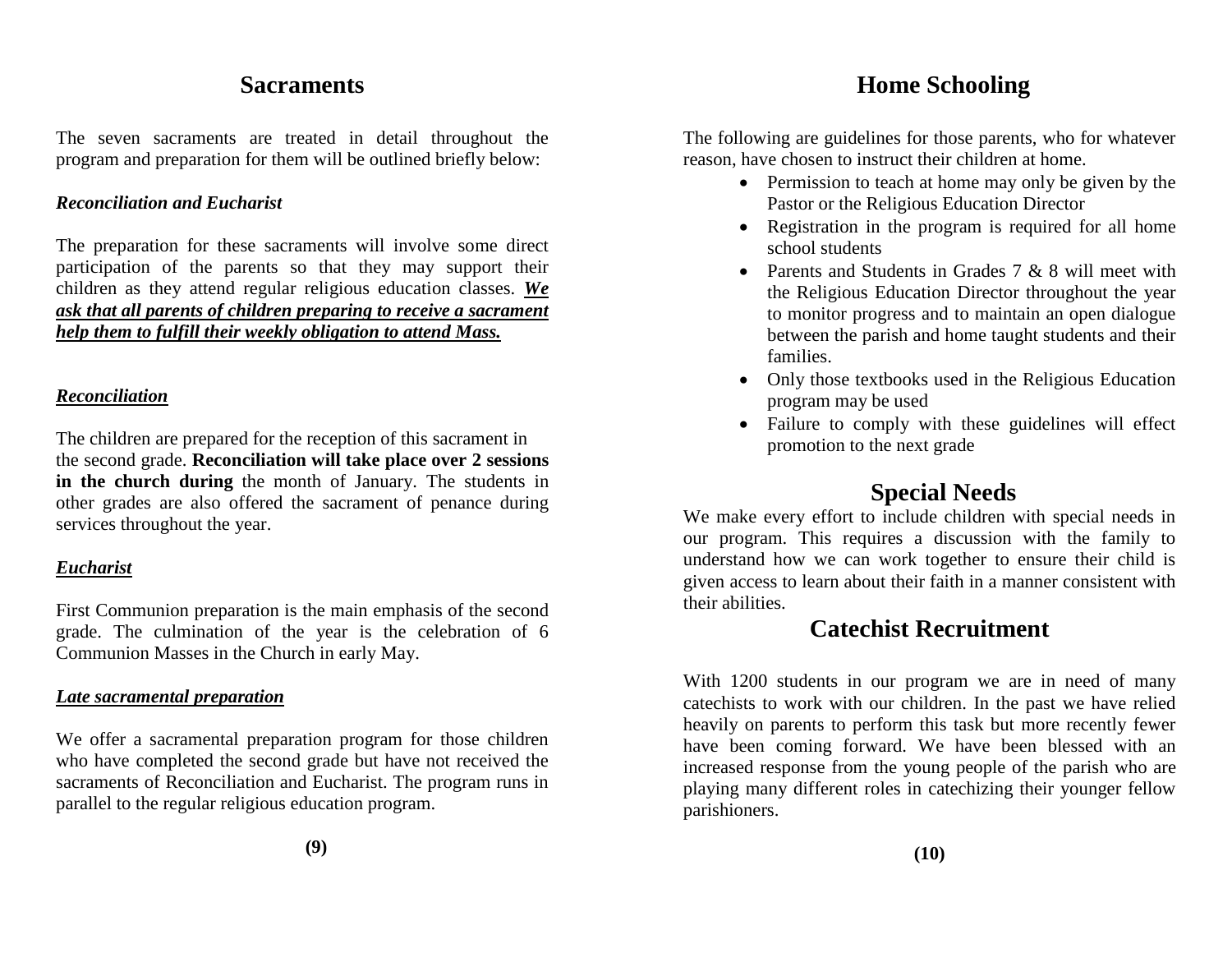# **Sacraments**

The seven sacraments are treated in detail throughout the program and preparation for them will be outlined briefly below:

## *Reconciliation and Eucharist*

The preparation for these sacraments will involve some direct participation of the parents so that they may support their children as they attend regular religious education classes. *We ask that all parents of children preparing to receive a sacrament help them to fulfill their weekly obligation to attend Mass.*

### *Reconciliation*

The children are prepared for the reception of this sacrament in the second grade. **Reconciliation will take place over 2 sessions in the church during** the month of January. The students in other grades are also offered the sacrament of penance during services throughout the year.

# *Eucharist*

First Communion preparation is the main emphasis of the second grade. The culmination of the year is the celebration of 6 Communion Masses in the Church in early May.

# *Late sacramental preparation*

We offer a sacramental preparation program for those children who have completed the second grade but have not received the sacraments of Reconciliation and Eucharist. The program runs in parallel to the regular religious education program.

**(9)**

# **Home Schooling**

The following are guidelines for those parents, who for whatever reason, have chosen to instruct their children at home.

- Permission to teach at home may only be given by the Pastor or the Religious Education Director
- Registration in the program is required for all home school students
- Parents and Students in Grades 7 & 8 will meet with the Religious Education Director throughout the year to monitor progress and to maintain an open dialogue between the parish and home taught students and their families.
- Only those textbooks used in the Religious Education program may be used
- Failure to comply with these guidelines will effect promotion to the next grade

# **Special Needs**

We make every effort to include children with special needs in our program. This requires a discussion with the family to understand how we can work together to ensure their child is given access to learn about their faith in a manner consistent with their abilities.

# **Catechist Recruitment**

With 1200 students in our program we are in need of many catechists to work with our children. In the past we have relied heavily on parents to perform this task but more recently fewer have been coming forward. We have been blessed with an increased response from the young people of the parish who are playing many different roles in catechizing their younger fellow parishioners.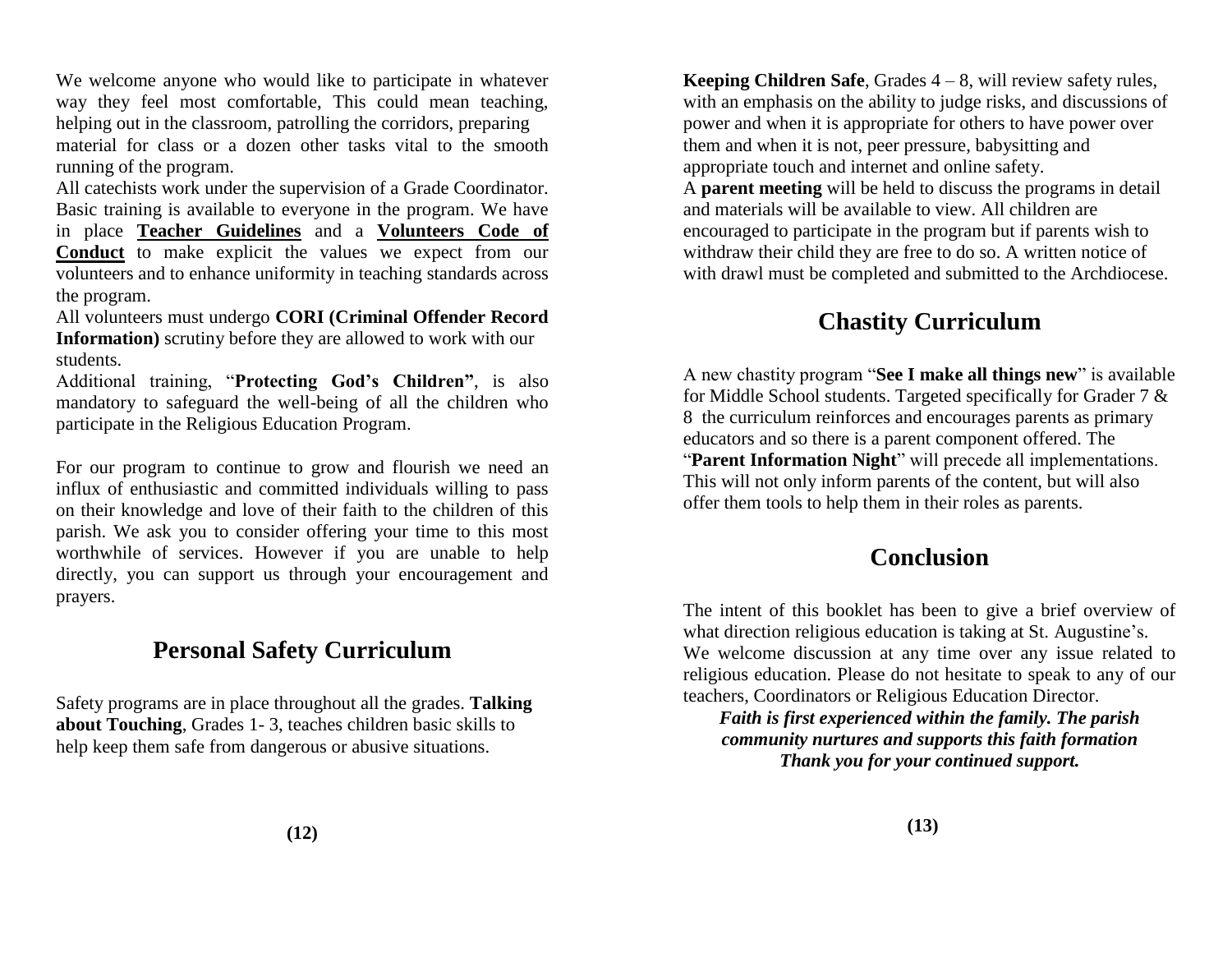We welcome anyone who would like to participate in whatever way they feel most comfortable, This could mean teaching, helping out in the classroom, patrolling the corridors, preparing material for class or a dozen other tasks vital to the smooth running of the program.

All catechists work under the supervision of a Grade Coordinator. Basic training is available to everyone in the program. We have in place **Teacher Guidelines** and a **Volunteers Code of Conduct** to make explicit the values we expect from our volunteers and to enhance uniformity in teaching standards across the program.

All volunteers must undergo **CORI (Criminal Offender Record Information)** scrutiny before they are allowed to work with our students.

Additional training, "**Protecting God's Children"**, is also mandatory to safeguard the well-being of all the children who participate in the Religious Education Program.

For our program to continue to grow and flourish we need an influx of enthusiastic and committed individuals willing to pass on their knowledge and love of their faith to the children of this parish. We ask you to consider offering your time to this most worthwhile of services. However if you are unable to help directly, you can support us through your encouragement and prayers.

# **Personal Safety Curriculum**

Safety programs are in place throughout all the grades. **Talking about Touching**, Grades 1- 3, teaches children basic skills to help keep them safe from dangerous or abusive situations.

**Keeping Children Safe**, Grades 4 – 8, will review safety rules, with an emphasis on the ability to judge risks, and discussions of power and when it is appropriate for others to have power over them and when it is not, peer pressure, babysitting and appropriate touch and internet and online safety.

A **parent meeting** will be held to discuss the programs in detail and materials will be available to view. All children are encouraged to participate in the program but if parents wish to withdraw their child they are free to do so. A written notice of with drawl must be completed and submitted to the Archdiocese.

# **Chastity Curriculum**

A new chastity program "**See I make all things new**" is available for Middle School students. Targeted specifically for Grader 7 & 8 the curriculum reinforces and encourages parents as primary educators and so there is a parent component offered. The "**Parent Information Night**" will precede all implementations. This will not only inform parents of the content, but will also offer them tools to help them in their roles as parents.

# **Conclusion**

The intent of this booklet has been to give a brief overview of what direction religious education is taking at St. Augustine's. We welcome discussion at any time over any issue related to religious education. Please do not hesitate to speak to any of our teachers, Coordinators or Religious Education Director.

*Faith is first experienced within the family. The parish community nurtures and supports this faith formation Thank you for your continued support.*